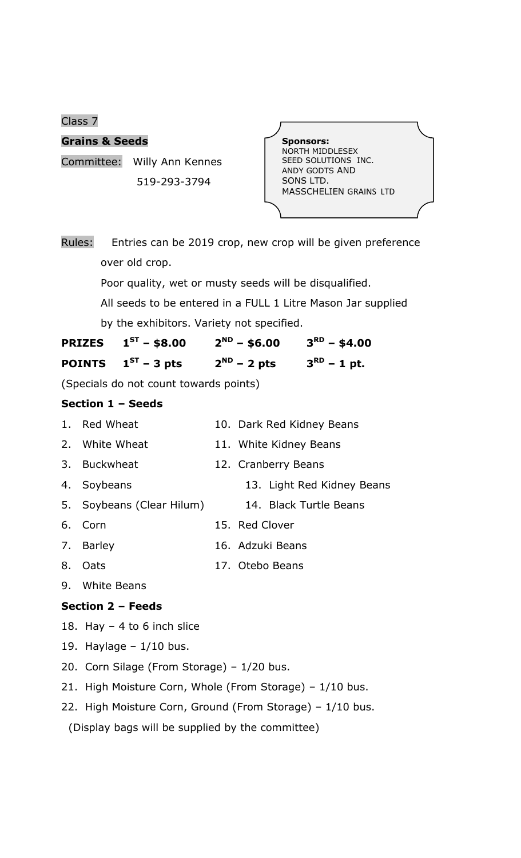Class 7

## **Grains & Seeds**

Committee: Willy Ann Kennes 519-293-3794



| Rules: |                |  |  |  | Entries can be 2019 crop, new crop will be given preference |
|--------|----------------|--|--|--|-------------------------------------------------------------|
|        | over old crop. |  |  |  |                                                             |

Poor quality, wet or musty seeds will be disqualified.

 All seeds to be entered in a FULL 1 Litre Mason Jar supplied by the exhibitors. Variety not specified.

| <b>PRIZES</b> $1^{ST}$ – \$8.00 | $2^{ND}$ – \$6.00 | $3^{RD}$ – \$4.00 |
|---------------------------------|-------------------|-------------------|
| <b>POINTS</b> $1^{ST}$ – 3 pts  | $2^{ND}$ – 2 pts  | $3^{RD}$ – 1 pt.  |

(Specials do not count towards points)

## **Section 1 – Seeds**

| 1. Red Wheat              | 10. Dark Red Kidney Beans  |
|---------------------------|----------------------------|
| 2. White Wheat            | 11. White Kidney Beans     |
| 3. Buckwheat              | 12. Cranberry Beans        |
| 4. Soybeans               | 13. Light Red Kidney Beans |
| 5. Soybeans (Clear Hilum) | 14. Black Turtle Beans     |
| 6. Corn                   | 15. Red Clover             |
| 7. Barley                 | 16. Adzuki Beans           |
| 8. Oats                   | 17. Otebo Beans            |
| $\Omega$ $M$ hita Roops   |                            |

9. White Beans

## **Section 2 – Feeds**

- 18. Hay  $-4$  to 6 inch slice
- 19. Haylage  $-1/10$  bus.
- 20. Corn Silage (From Storage) 1/20 bus.
- 21. High Moisture Corn, Whole (From Storage) 1/10 bus.
- 22. High Moisture Corn, Ground (From Storage) 1/10 bus.

(Display bags will be supplied by the committee)